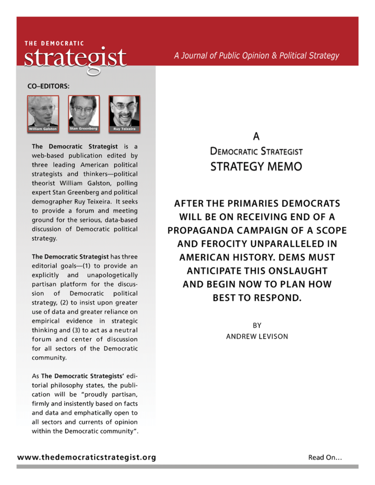## THE DEMOCRATIC strategist

A Journal of Public Opinion & Political Strategy

**CO-EDITORS:** 



The Democratic Strategist is a web-based publication edited by three leading American political strategists and thinkers-political theorist William Galston, polling expert Stan Greenberg and political demographer Ruy Teixeira. It seeks to provide a forum and meeting ground for the serious, data-based discussion of Democratic political strategy.

The Democratic Strategist has three editorial goals-(1) to provide an explicitly and unapologetically partisan platform for the discussion of Democratic political strategy, (2) to insist upon greater use of data and greater reliance on empirical evidence in strategic thinking and (3) to act as a neutral forum and center of discussion for all sectors of the Democratic community.

As The Democratic Strategists' editorial philosophy states, the publication will be "proudly partisan, firmly and insistently based on facts and data and emphatically open to all sectors and currents of opinion within the Democratic community".

## А **DEMOCRATIC STRATEGIST STRATEGY MEMO**

**AFTER THE PRIMARIES DEMOCRATS** WILL BE ON RECEIVING END OF A PROPAGANDA CAMPAIGN OF A SCOPE AND FEROCITY UNPARALLELED IN **AMERICAN HISTORY, DEMS MUST ANTICIPATE THIS ONSLAUGHT** AND BEGIN NOW TO PLAN HOW **BEST TO RESPOND.** 

> BY **ANDREW LEVISON**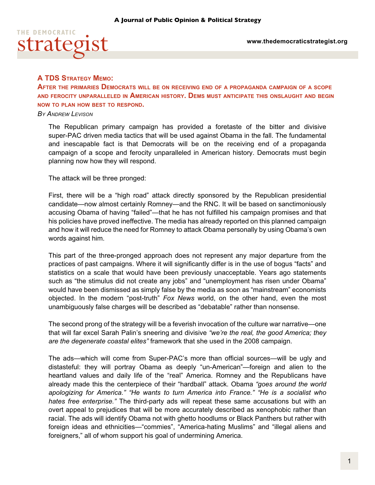

## **A TDS Strategy Memo:**

**After the primaries Democrats will be on receiving end of a propaganda campaign of a scope and ferocity unparalleled in American history. Dems must anticipate this onslaught and begin now to plan how best to respond.** 

## *By Andrew Levison*

The Republican primary campaign has provided a foretaste of the bitter and divisive super-PAC driven media tactics that will be used against Obama in the fall. The fundamental and inescapable fact is that Democrats will be on the receiving end of a propaganda campaign of a scope and ferocity unparalleled in American history. Democrats must begin planning now how they will respond.

The attack will be three pronged:

First, there will be a "high road" attack directly sponsored by the Republican presidential candidate—now almost certainly Romney—and the RNC. It will be based on sanctimoniously accusing Obama of having "failed"—that he has not fulfilled his campaign promises and that his policies have proved ineffective. The media has already reported on this planned campaign and how it will reduce the need for Romney to attack Obama personally by using Obama's own words against him.

This part of the three-pronged approach does not represent any major departure from the practices of past campaigns. Where it will significantly differ is in the use of bogus "facts" and statistics on a scale that would have been previously unacceptable. Years ago statements such as "the stimulus did not create any jobs" and "unemployment has risen under Obama" would have been dismissed as simply false by the media as soon as "mainstream" economists objected. In the modern "post-truth" *Fox News* world, on the other hand, even the most unambiguously false charges will be described as "debatable" rather than nonsense.

The second prong of the strategy will be a feverish invocation of the culture war narrative—one that will far excel Sarah Palin's sneering and divisive *"we're the real, the good America; they are the degenerate coastal elites"* framework that she used in the 2008 campaign.

The ads—which will come from Super-PAC's more than official sources—will be ugly and distasteful: they will portray Obama as deeply "un-American"—foreign and alien to the heartland values and daily life of the "real" America. Romney and the Republicans have already made this the centerpiece of their "hardball" attack. Obama *"goes around the world apologizing for America." "He wants to turn America into France." "He is a socialist who hates free enterprise."* The third-party ads will repeat these same accusations but with an overt appeal to prejudices that will be more accurately described as xenophobic rather than racial. The ads will identify Obama not with ghetto hoodlums or Black Panthers but rather with foreign ideas and ethnicities—"commies", "America-hating Muslims" and "illegal aliens and foreigners," all of whom support his goal of undermining America.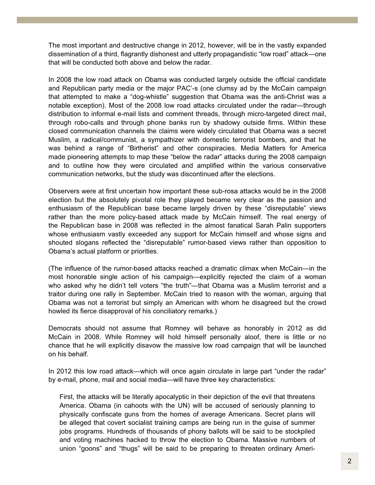The most important and destructive change in 2012, however, will be in the vastly expanded dissemination of a third, flagrantly dishonest and utterly propagandistic "low road" attack—one that will be conducted both above and below the radar.

In 2008 the low road attack on Obama was conducted largely outside the official candidate and Republican party media or the major PAC'-s (one clumsy ad by the McCain campaign that attempted to make a "dog-whistle" suggestion that Obama was the anti-Christ was a notable exception). Most of the 2008 low road attacks circulated under the radar—through distribution to informal e-mail lists and comment threads, through micro-targeted direct mail, through robo-calls and through phone banks run by shadowy outside firms. Within these closed communication channels the claims were widely circulated that Obama was a secret Muslim, a radical/communist, a sympathizer with domestic terrorist bombers, and that he was behind a range of "Birtherist" and other conspiracies. Media Matters for America made pioneering attempts to map these "below the radar" attacks during the 2008 campaign and to outline how they were circulated and amplified within the various conservative communication networks, but the study was discontinued after the elections.

Observers were at first uncertain how important these sub-rosa attacks would be in the 2008 election but the absolutely pivotal role they played became very clear as the passion and enthusiasm of the Republican base became largely driven by these "disreputable" views rather than the more policy-based attack made by McCain himself. The real energy of the Republican base in 2008 was reflected in the almost fanatical Sarah Palin supporters whose enthusiasm vastly exceeded any support for McCain himself and whose signs and shouted slogans reflected the "disreputable" rumor-based views rather than opposition to Obama's actual platform or priorities.

(The influence of the rumor-based attacks reached a dramatic climax when McCain—in the most honorable single action of his campaign—explicitly rejected the claim of a woman who asked why he didn't tell voters "the truth"—that Obama was a Muslim terrorist and a traitor during one rally in September. McCain tried to reason with the woman, arguing that Obama was not a terrorist but simply an American with whom he disagreed but the crowd howled its fierce disapproval of his conciliatory remarks.)

Democrats should not assume that Romney will behave as honorably in 2012 as did McCain in 2008. While Romney will hold himself personally aloof, there is little or no chance that he will explicitly disavow the massive low road campaign that will be launched on his behalf.

In 2012 this low road attack—which will once again circulate in large part "under the radar" by e-mail, phone, mail and social media—will have three key characteristics:

First, the attacks will be literally apocalyptic in their depiction of the evil that threatens America. Obama (in cahoots with the UN) will be accused of seriously planning to physically confiscate guns from the homes of average Americans. Secret plans will be alleged that covert socialist training camps are being run in the guise of summer jobs programs. Hundreds of thousands of phony ballots will be said to be stockpiled and voting machines hacked to throw the election to Obama. Massive numbers of union "goons" and "thugs" will be said to be preparing to threaten ordinary Ameri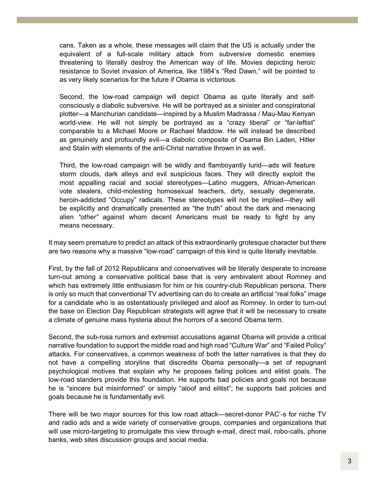cans. Taken as a whole, these messages will claim that the US is actually under the equivalent of a full-scale military attack from subversive domestic enemies threatening to literally destroy the American way of life. Movies depicting heroic resistance to Soviet invasion of America, like 1984's "Red Dawn," will be pointed to as very likely scenarios for the future if Obama is victorious.

Second, the low-road campaign will depict Obama as quite literally and selfconsciously a diabolic subversive. He will be portrayed as a sinister and conspiratorial plotter—a Manchurian candidate—inspired by a Muslim Madrassa / Mau-Mau Kenyan world-view. He will not simply be portrayed as a "crazy liberal" or "far-leftist" comparable to a Michael Moore or Rachael Maddow. He will instead be described as genuinely and profoundly evil—a diabolic composite of Osama Bin Laden, Hitler and Stalin with elements of the anti-Christ narrative thrown in as well.

Third, the low-road campaign will be wildly and flamboyantly lurid—ads will feature storm clouds, dark alleys and evil suspicious faces. They will directly exploit the most appalling racial and social stereotypes—Latino muggers, African-American vote stealers, child-molesting homosexual teachers, dirty, sexually degenerate, heroin-addicted "Occupy" radicals. These stereotypes will not be implied—they will be explicitly and dramatically presented as "the truth" about the dark and menacing alien *"other"* against whom decent Americans must be ready to fight by any means necessary.

It may seem premature to predict an attack of this extraordinarily grotesque character but there are two reasons why a massive "low-road" campaign of this kind is quite literally inevitable.

First, by the fall of 2012 Republicans and conservatives will be literally desperate to increase turn-out among a conservative political base that is very ambivalent about Romney and which has extremely little enthusiasm for him or his country-club Republican persona. There is only so much that conventional TV advertising can do to create an artificial "real folks" image for a candidate who is as ostentatiously privileged and aloof as Romney. In order to turn-out the base on Election Day Republican strategists will agree that it will be necessary to create a climate of genuine mass hysteria about the horrors of a second Obama term.

Second, the sub-rosa rumors and extremist accusations against Obama will provide a critical narrative foundation to support the middle road and high road "Culture War" and "Failed Policy" attacks. For conservatives, a common weakness of both the latter narratives is that they do not have a compelling storyline that discredits Obama personally—a set of repugnant psychological motives that explain why he proposes failing polices and elitist goals. The low-road slanders provide this foundation. He supports bad policies and goals not because he is "sincere but misinformed" or simply "aloof and elitist"; he supports bad policies and goals because he is fundamentally evil.

There will be two major sources for this low road attack—secret-donor PAC'-s for niche TV and radio ads and a wide variety of conservative groups, companies and organizations that will use micro-targeting to promulgate this view through e-mail, direct mail, robo-calls, phone banks, web sites discussion groups and social media.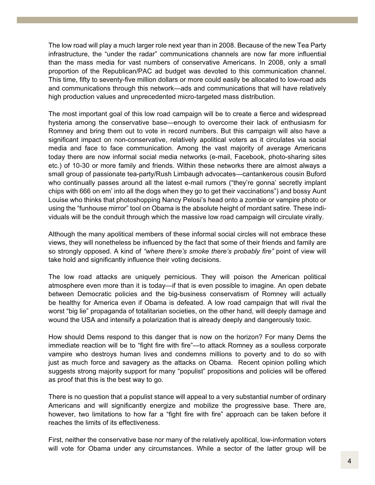The low road will play a much larger role next year than in 2008. Because of the new Tea Party infrastructure, the "under the radar" communications channels are now far more influential than the mass media for vast numbers of conservative Americans. In 2008, only a small proportion of the Republican/PAC ad budget was devoted to this communication channel. This time, fifty to seventy-five million dollars or more could easily be allocated to low-road ads and communications through this network—ads and communications that will have relatively high production values and unprecedented micro-targeted mass distribution.

The most important goal of this low road campaign will be to create a fierce and widespread hysteria among the conservative base—enough to overcome their lack of enthusiasm for Romney and bring them out to vote in record numbers. But this campaign will also have a significant impact on non-conservative, relatively apolitical voters as it circulates via social media and face to face communication. Among the vast majority of average Americans today there are now informal social media networks (e-mail, Facebook, photo-sharing sites etc.) of 10-30 or more family and friends. Within these networks there are almost always a small group of passionate tea-party/Rush Limbaugh advocates—cantankerous cousin Buford who continually passes around all the latest e-mail rumors ("they're gonna' secretly implant chips with 666 on em' into all the dogs when they go to get their vaccinations") and bossy Aunt Louise who thinks that photoshopping Nancy Pelosi's head onto a zombie or vampire photo or using the "funhouse mirror" tool on Obama is the absolute height of mordant satire. These individuals will be the conduit through which the massive low road campaign will circulate virally.

Although the many apolitical members of these informal social circles will not embrace these views, they will nonetheless be influenced by the fact that some of their friends and family are so strongly opposed. A kind of *"where there's smoke there's probably fire"* point of view will take hold and significantly influence their voting decisions.

The low road attacks are uniquely pernicious. They will poison the American political atmosphere even more than it is today—if that is even possible to imagine. An open debate between Democratic policies and the big-business conservatism of Romney will actually be healthy for America even if Obama is defeated. A low road campaign that will rival the worst "big lie" propaganda of totalitarian societies, on the other hand, will deeply damage and wound the USA and intensify a polarization that is already deeply and dangerously toxic.

How should Dems respond to this danger that is now on the horizon? For many Dems the immediate reaction will be to "fight fire with fire"—to attack Romney as a soulless corporate vampire who destroys human lives and condemns millions to poverty and to do so with just as much force and savagery as the attacks on Obama. Recent opinion polling which suggests strong majority support for many "populist" propositions and policies will be offered as proof that this is the best way to go.

There is no question that a populist stance will appeal to a very substantial number of ordinary Americans and will significantly energize and mobilize the progressive base. There are, however, two limitations to how far a "fight fire with fire" approach can be taken before it reaches the limits of its effectiveness.

First, neither the conservative base nor many of the relatively apolitical, low-information voters will vote for Obama under any circumstances. While a sector of the latter group will be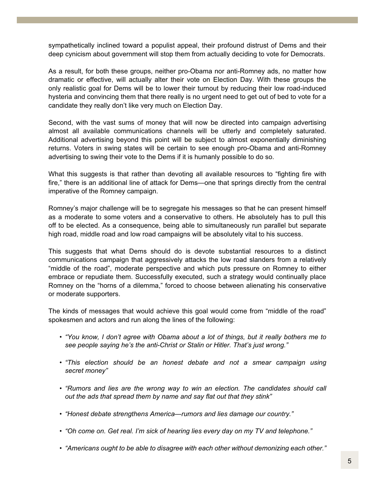sympathetically inclined toward a populist appeal, their profound distrust of Dems and their deep cynicism about government will stop them from actually deciding to vote for Democrats.

As a result, for both these groups, neither pro-Obama nor anti-Romney ads, no matter how dramatic or effective, will actually alter their vote on Election Day. With these groups the only realistic goal for Dems will be to lower their turnout by reducing their low road-induced hysteria and convincing them that there really is no urgent need to get out of bed to vote for a candidate they really don't like very much on Election Day.

Second, with the vast sums of money that will now be directed into campaign advertising almost all available communications channels will be utterly and completely saturated. Additional advertising beyond this point will be subject to almost exponentially diminishing returns. Voters in swing states will be certain to see enough pro-Obama and anti-Romney advertising to swing their vote to the Dems if it is humanly possible to do so.

What this suggests is that rather than devoting all available resources to "fighting fire with fire," there is an additional line of attack for Dems—one that springs directly from the central imperative of the Romney campaign.

Romney's major challenge will be to segregate his messages so that he can present himself as a moderate to some voters and a conservative to others. He absolutely has to pull this off to be elected. As a consequence, being able to simultaneously run parallel but separate high road, middle road and low road campaigns will be absolutely vital to his success.

This suggests that what Dems should do is devote substantial resources to a distinct communications campaign that aggressively attacks the low road slanders from a relatively "middle of the road", moderate perspective and which puts pressure on Romney to either embrace or repudiate them. Successfully executed, such a strategy would continually place Romney on the "horns of a dilemma," forced to choose between alienating his conservative or moderate supporters.

The kinds of messages that would achieve this goal would come from "middle of the road" spokesmen and actors and run along the lines of the following:

- *"You know, I don't agree with Obama about a lot of things, but it really bothers me to see people saying he's the anti-Christ or Stalin or Hitler. That's just wrong."*
- *"This election should be an honest debate and not a smear campaign using secret money"*
- *"Rumors and lies are the wrong way to win an election. The candidates should call out the ads that spread them by name and say flat out that they stink"*
- *"Honest debate strengthens America*—*rumors and lies damage our country."*
- *"Oh come on. Get real. I'm sick of hearing lies every day on my TV and telephone."*
- *"Americans ought to be able to disagree with each other without demonizing each other."*